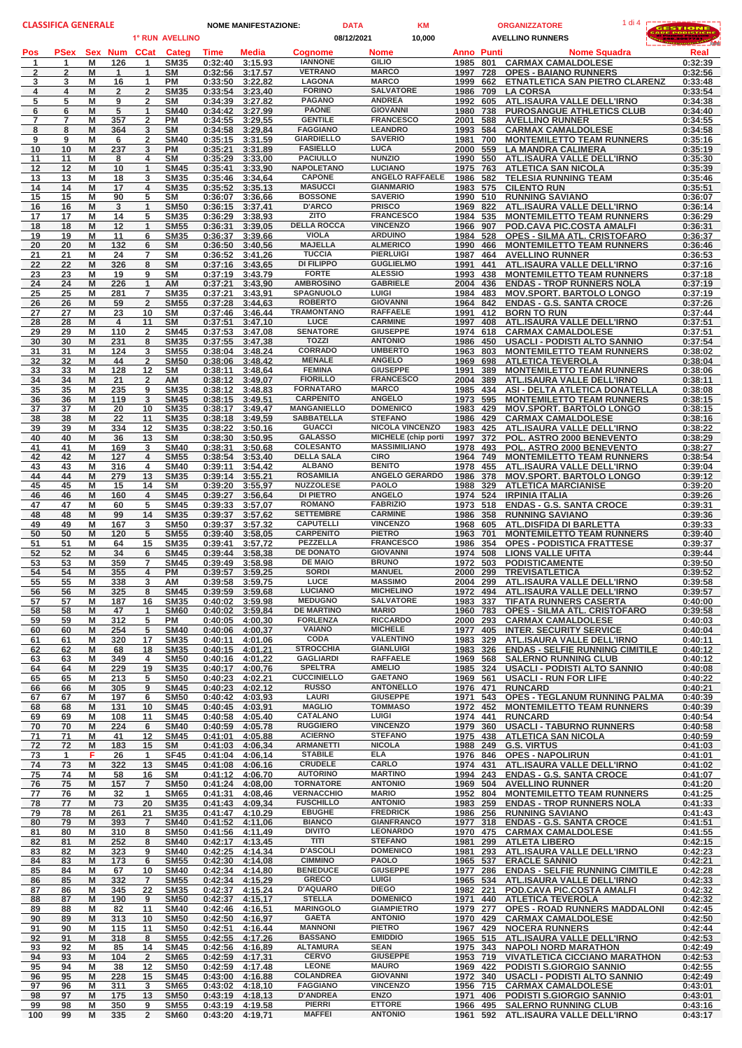| <b>CLASSIFICA GENERALE</b> |                             |                          | <b>DATA</b><br><b>NOME MANIFESTAZIONE:</b> |                            |                    |                                    | <b>KM</b>                            |               |                                                      | 1 di 4<br><b>ORGANIZZATORE</b> | <b>GESTIONE</b> |                                                                      |                    |
|----------------------------|-----------------------------|--------------------------|--------------------------------------------|----------------------------|--------------------|------------------------------------|--------------------------------------|---------------|------------------------------------------------------|--------------------------------|-----------------|----------------------------------------------------------------------|--------------------|
|                            |                             |                          |                                            | 1° RUN AVELLINO            |                    |                                    |                                      | 08/12/2021    | 10,000                                               |                                |                 | <b>AVELLINO RUNNERS</b>                                              | <b>Participant</b> |
| Pos                        | <b>PSex</b><br>$\mathbf{1}$ | Sex Num<br>M             | <b>CCat</b>                                | Categ                      | Time               | Media                              | <b>Coanome</b><br><b>IANNONE</b>     | Nome<br>GILIO |                                                      | <b>Anno Punti</b><br>1985 801  |                 | Nome Squadra                                                         | Real               |
| 1<br>$\overline{2}$        | $\overline{2}$              | 126<br>M<br>$\mathbf{1}$ | $\mathbf{1}$<br>$\mathbf{1}$               | <b>SM35</b><br><b>SM</b>   | 0:32:40<br>0:32:56 | 3:15.93<br>3:17.57                 | <b>VETRANO</b>                       |               | <b>MARCO</b>                                         | 1997                           | 728             | <b>CARMAX CAMALDOLESE</b><br><b>OPES - BAIANO RUNNERS</b>            | 0:32:39<br>0:32:56 |
| 3                          | 3                           | M<br>16                  | 1                                          | PM                         | 0:33:50            | 3:22.82                            | LAGONA                               |               | <b>MARCO</b>                                         | 1999                           | 662             | ETNATLETICA SAN PIETRO CLARENZ                                       | 0:33:48            |
| 4                          | 4                           | M<br>$\overline{2}$      | $\overline{2}$                             | <b>SM35</b>                | 0:33:54<br>0:34:39 | 3:23.40                            | <b>FORINO</b><br><b>PAGANO</b>       |               | <b>SALVATORE</b><br><b>ANDREA</b>                    | 1986                           | 709             | <b>LA CORSA</b>                                                      | 0:33:54<br>0:34:38 |
| 5<br>6                     | 5<br>6                      | M<br>9<br>M<br>5         | $\overline{2}$<br>$\mathbf{1}$             | <b>SM</b><br><b>SM40</b>   | 0:34:42            | 3:27.82<br>3:27.99                 | <b>PAONE</b>                         |               | <b>GIOVANNI</b>                                      | 1992<br>1980                   | 605<br>738      | ATL.ISAURA VALLE DELL'IRNO<br><b>PUROSANGUE ATHLETICS CLUB</b>       | 0:34:40            |
| 7                          | $\overline{7}$              | M<br>357                 | $\overline{2}$                             | <b>PM</b>                  | 0:34:55            | 3:29.55                            | <b>GENTILE</b>                       |               | <b>FRANCESCO</b>                                     | 2001                           | 588             | <b>AVELLINO RUNNER</b>                                               | 0:34:55            |
| 8                          | 8                           | M<br>364                 | 3                                          | <b>SM</b>                  | 0:34:58            | 3:29.84                            | <b>FAGGIANO</b><br><b>GIARDIELLO</b> |               | <b>LEANDRO</b><br><b>SAVERIO</b>                     | 1993                           | 584             | <b>CARMAX CAMALDOLESE</b>                                            | 0:34:58            |
| 9<br>10                    | 9<br>10                     | M<br>6<br>237<br>M       | 2<br>3                                     | <b>SM40</b><br><b>PM</b>   | 0:35:21            | 0:35:15 3:31.59<br>3:31.89         | <b>FASIELLO</b>                      | <b>LUCA</b>   |                                                      | 1981<br>2000 559               | 700             | <b>MONTEMILETTO TEAM RUNNERS</b><br><b>LA MANDRA CALIMERA</b>        | 0:35:16<br>0:35:19 |
| 11                         | 11                          | М<br>8                   | 4                                          | <b>SM</b>                  | 0:35:29            | 3:33.00                            | <b>PACIULLO</b>                      |               | <b>NUNZIO</b>                                        | 1990 550                       |                 | ATL.ISAURA VALLE DELL'IRNO                                           | 0:35:30            |
| 12                         | 12                          | M<br>10                  | $\mathbf 1$                                | <b>SM45</b>                | 0:35:41            | 3:33.90                            | <b>NAPOLETANO</b><br><b>CAPONE</b>   |               | <b>LUCIANO</b>                                       | 1975                           | 763             | <b>ATLETICA SAN NICOLA</b>                                           | 0:35:39            |
| 13<br>14                   | 13<br>14                    | M<br>18<br>M<br>17       | 3<br>4                                     | <b>SM35</b><br><b>SM35</b> | 0:35:46            | 3:34.64<br>0:35:52 3:35.13         | <b>MASUCCI</b>                       |               | <b>ANGELO RAFFAELE</b><br><b>GIANMARIO</b>           | 1986<br>1983                   | 582<br>575      | <b>TELESIA RUNNING TEAM</b><br><b>CILENTO RUN</b>                    | 0:35:46<br>0:35:51 |
| 15                         | 15                          | M<br>90                  | 5                                          | SΜ                         | 0:36:07            | 3:36.66                            | <b>BOSSONE</b>                       |               | <b>SAVERIO</b>                                       | 1990 510                       |                 | <b>RUNNING SAVIANO</b>                                               | 0:36:07            |
| 16                         | 16                          | M<br>3                   | $\mathbf{1}$                               | <b>SM50</b>                |                    | 0:36:15 3:37.41                    | <b>D'ARCO</b>                        |               | <b>PRISCO</b>                                        | 1969 822                       |                 | ATL.ISAURA VALLE DELL'IRNO                                           | 0:36:14            |
| 17<br>18                   | 17<br>18                    | М<br>14<br>M<br>12       | 5<br>$\mathbf{1}$                          | <b>SM35</b><br><b>SM55</b> | 0:36:29<br>0:36:31 | 3:38.93<br>3:39.05                 | <b>ZITO</b><br><b>DELLA ROCCA</b>    |               | <b>FRANCESCO</b><br><b>VINCENZO</b>                  | 1984<br>1966                   | 535<br>907      | <b>MONTEMILETTO TEAM RUNNERS</b><br>POD.CAVA PIC.COSTA AMALFI        | 0:36:29<br>0:36:31 |
| 19                         | 19                          | M<br>11                  | 6                                          | <b>SM35</b>                | 0:36:37            | 3:39.66                            | <b>VIOLA</b>                         |               | <b>ARDUINO</b>                                       | 1984                           | 528             | <b>OPES - SILMA ATL. CRISTOFARO</b>                                  | 0:36:37            |
| 20                         | 20                          | M<br>132                 | 6                                          | <b>SM</b>                  |                    | 0:36:50 3:40.56                    | <b>MAJELLA</b>                       |               | <b>ALMERICO</b>                                      | 1990                           | 466             | <b>MONTEMILETTO TEAM RUNNERS</b>                                     | 0:36:46            |
| 21<br>22                   | 21<br>22                    | M<br>24<br>M<br>326      | 7<br>8                                     | <b>SM</b><br><b>SM</b>     | 0:36:52<br>0:37:16 | 3:41.26<br>3:43.65                 | <b>TUCCIA</b><br>DI FILIPPO          |               | <b>PIERLUIGI</b><br><b>GUGLIELMO</b>                 | 1987<br>1991                   | 464<br>441      | <b>AVELLINO RUNNER</b><br><b>ATL.ISAURA VALLE DELL'IRNO</b>          | 0:36:53<br>0:37:16 |
| 23                         | 23                          | M<br>19                  | 9                                          | <b>SM</b>                  | 0:37:19            | 3:43.79                            | <b>FORTE</b>                         |               | <b>ALESSIO</b>                                       | 1993                           | 438             | <b>MONTEMILETTO TEAM RUNNERS</b>                                     | 0:37:18            |
| 24                         | 24                          | M<br>226                 | $\mathbf{1}$                               | AM                         | 0:37:21            | 3:43.90                            | <b>AMBROSINO</b>                     |               | <b>GABRIELE</b>                                      | 2004                           | 436             | <b>ENDAS - TROP RUNNERS NOLA</b>                                     | 0:37:19            |
| 25                         | 25                          | M<br>281                 | $\overline{7}$                             | <b>SM35</b>                | 0:37:21            | 3:43.91                            | SPAGNUOLO<br><b>ROBERTO</b>          | LUIGI         | <b>GIOVANNI</b>                                      | 1984                           | 483             | <b>MOV.SPORT, BARTOLO LONGO</b><br><b>ENDAS - G.S. SANTA CROCE</b>   | 0:37:19            |
| 26<br>27                   | 26<br>27                    | M<br>59<br>M<br>23       | $\overline{2}$<br>10                       | <b>SM55</b><br>SΜ          | 0:37:28<br>0:37:46 | 3:44.63<br>3:46.44                 | <b>TRAMONTANO</b>                    |               | <b>RAFFAELE</b>                                      | 1964<br>1991                   | 842<br>412      | <b>BORN TO RUN</b>                                                   | 0:37:26<br>0:37:44 |
| 28                         | 28                          | M<br>4                   | 11                                         | <b>SM</b>                  | 0:37:51            | 3:47.10                            | LUCE                                 |               | <b>CARMINE</b>                                       | 1997                           | 408             | <b>ATL.ISAURA VALLE DELL'IRNO</b>                                    | 0:37:51            |
| 29                         | 29                          | M<br>110                 | $\overline{2}$                             | <b>SM45</b>                | 0:37:53            | 3:47.08                            | <b>SENATORE</b>                      |               | <b>GIUSEPPE</b>                                      | 1974                           | 618             | <b>CARMAX CAMALDOLESE</b>                                            | 0:37:51            |
| 30<br>31                   | 30<br>31                    | M<br>231<br>М<br>124     | 8<br>3                                     | <b>SM35</b><br><b>SM55</b> | 0:37:55<br>0:38:04 | 3:47.38<br>3:48.24                 | <b>TOZZI</b><br><b>CORRADO</b>       |               | <b>ANTONIO</b><br><b>UMBERTO</b>                     | 1986<br>1963                   | 450<br>803      | USACLI - PODISTI ALTO SANNIO<br><b>MONTEMILETTO TEAM RUNNERS</b>     | 0:37:54<br>0:38:02 |
| 32                         | 32                          | M<br>44                  | $\overline{2}$                             | <b>SM50</b>                | 0:38:06            | 3:48.42                            | <b>MENALE</b>                        |               | <b>ANGELO</b>                                        | 1969                           | 698             | <b>ATLETICA TEVEROLA</b>                                             | 0:38:04            |
| 33                         | 33                          | M<br>128                 | 12                                         | <b>SM</b>                  | 0:38:11            | 3:48.64                            | <b>FEMINA</b>                        |               | <b>GIUSEPPE</b>                                      | 1991                           | 389             | <b>MONTEMILETTO TEAM RUNNERS</b>                                     | 0:38:06            |
| 34                         | 34                          | M<br>21                  | $\overline{2}$                             | AM                         |                    | 0:38:12 3:49.07                    | <b>FIORILLO</b><br><b>FORNATARO</b>  |               | <b>FRANCESCO</b><br><b>MARCO</b>                     | 2004                           | 389             | ATL.ISAURA VALLE DELL'IRNO                                           | 0:38:11            |
| 35<br>36                   | 35<br>36                    | M<br>235<br>119<br>M     | 9<br>3                                     | <b>SM35</b><br><b>SM45</b> | 0:38:12<br>0:38:15 | 3:48.83<br>3:49.51                 | <b>CARPENITO</b>                     |               | <b>ANGELO</b>                                        | 1985<br>1973                   | 434<br>595      | ASI - DELTA ATLETICA DONATELLA<br><b>MONTEMILETTO TEAM RUNNERS</b>   | 0:38:08<br>0:38:15 |
| 37                         | 37                          | M<br>20                  | 10                                         | <b>SM35</b>                | 0:38:17            | 3:49.47                            | <b>MANGANIELLO</b>                   |               | <b>DOMENICO</b>                                      | 1983 429                       |                 | <b>MOV.SPORT. BARTOLO LONGO</b>                                      | 0:38:15            |
| 38                         | 38                          | M<br>22                  | 11                                         | <b>SM35</b>                | 0:38:18            | 3:49,59                            | <b>SABBATELLA</b>                    |               | <b>STEFANO</b>                                       | 1986                           | 429             | <b>CARMAX CAMALDOLESE</b>                                            | 0:38:16            |
| 39<br>40                   | 39<br>40                    | M<br>334<br>36<br>M      | 12<br>13                                   | <b>SM35</b><br><b>SM</b>   | 0:38:22<br>0:38:30 | 3:50.16<br>3:50.95                 | <b>GUACCI</b><br><b>GALASSO</b>      |               | <b>NICOLA VINCENZO</b><br><b>MICHELE</b> (chip porti | 1983<br>1997                   | 425<br>372      | ATL.ISAURA VALLE DELL'IRNO<br><b>POL. ASTRO 2000 BENEVENTO</b>       | 0:38:22<br>0:38:29 |
| 41                         | 41                          | M<br>169                 | 3                                          | <b>SM40</b>                | 0:38:31            | 3:50.68                            | <b>COLESANTO</b>                     |               | <b>MASSIMILIANO</b>                                  | 1978 493                       |                 | POL. ASTRO 2000 BENEVENTO                                            | 0:38:27            |
| 42                         | 42                          | M<br>127                 | 4                                          | <b>SM55</b>                |                    | 0:38:54 3:53.40                    | <b>DELLA SALA</b>                    | <b>CIRO</b>   |                                                      | 1964 749                       |                 | <b>MONTEMILETTO TEAM RUNNERS</b>                                     | 0:38:54            |
| 43                         | 43                          | M<br>316                 | 4                                          | <b>SM40</b>                | 0:39:11            | 3:54.42                            | <b>ALBANO</b><br><b>ROSAMILIA</b>    |               | <b>BENITO</b><br><b>ANGELO GERARDO</b>               | 1978                           | 455             | <b>ATL.ISAURA VALLE DELL'IRNO</b>                                    | 0:39:04            |
| 44<br>45                   | 44<br>45                    | M<br>279<br>M<br>15      | 13<br>14                                   | <b>SM35</b><br><b>SM</b>   | 0:39:14<br>0:39:20 | 3:55.21<br>3:55.97                 | <b>NUZZOLESE</b>                     |               | <b>PAOLO</b>                                         | 1986<br>1988                   | 378<br>329      | <b>MOV.SPORT. BARTOLO LONGO</b><br><b>ATLETICA MARCIANISE</b>        | 0:39:12<br>0:39:20 |
| 46                         | 46                          | M<br>160                 | 4                                          | <b>SM45</b>                | 0:39:27            | 3:56.64                            | <b>DI PIETRO</b>                     |               | <b>ANGELO</b>                                        | 1974 524                       |                 | <b>IRPINIA ITALIA</b>                                                | 0:39:26            |
| 47                         | 47                          | M<br>60                  | 5                                          | <b>SM45</b>                | 0:39:33            | 3:57.07                            | <b>ROMANO</b>                        |               | <b>FABRIZIO</b>                                      | 1973                           | 518             | <b>ENDAS - G.S. SANTA CROCE</b>                                      | 0:39:31            |
| 48<br>49                   | 48<br>49                    | M<br>99<br>M<br>167      | 14<br>3                                    | <b>SM35</b><br><b>SM50</b> | 0:39:37<br>0:39:37 | 3:57.62<br>3:57.32                 | <b>SETTEMBRE</b><br><b>CAPUTELLI</b> |               | <b>CARMINE</b><br><b>VINCENZO</b>                    | 1968 605                       |                 | 1986 358 RUNNING SAVIANO<br>ATL.DISFIDA DI BARLETTA                  | 0:39:36<br>0:39:33 |
| 50                         | 50                          | M<br>120                 | 5                                          | <b>SM55</b>                | 0:39:40            | 3:58.05                            | <b>CARPENITO</b>                     |               | <b>PIETRO</b>                                        | 1963                           | 701             | <b>MONTEMILETTO TEAM RUNNERS</b>                                     | 0:39:40            |
| 51                         | 51                          | M<br>64                  | 15                                         | <b>SM35</b>                | 0:39:41            | 3:57.72                            | PEZZELLA                             |               | <b>FRANCESCO</b>                                     | 1986 354                       |                 | <b>OPES - PODISTICA FRATTESE</b>                                     | 0:39:37            |
| 52                         | 52<br>53                    | M<br>34<br>M<br>359      | 6<br>$\overline{7}$                        | <b>SM45</b><br><b>SM45</b> | 0:39:44            | 3:58.38                            | <b>DE DONATO</b><br><b>DE MAIO</b>   |               | <b>GIOVANNI</b><br><b>BRUNO</b>                      | 1974<br>1972                   | 508<br>503      | <b>LIONS VALLE UFITA</b><br><b>PODISTICAMENTE</b>                    | 0:39:44            |
| 53<br>54                   | 54                          | M<br>355                 | 4                                          | <b>PM</b>                  |                    | 0:39:49 3:58.98<br>0:39:57 3:59.25 | <b>SORDI</b>                         |               | <b>MANUEL</b>                                        |                                |                 | 2000 299 TREVISATLETICA                                              | 0:39:50<br>0:39:52 |
| 55                         | 55                          | M<br>338                 | 3                                          | AM.                        |                    | 0:39:58 3:59.75                    | LUCE                                 |               | <b>MASSIMO</b>                                       |                                |                 | 2004 299 ATL.ISAURA VALLE DELL'IRNO                                  | 0:39:58            |
| 56                         | 56                          | 325<br>M                 | 8                                          | <b>SM45</b>                |                    | 0:39:59 3:59.68                    | <b>LUCIANO</b><br><b>MEDUGNO</b>     |               | <b>MICHELINO</b><br><b>SALVATORE</b>                 |                                |                 | 1972 494 ATL.ISAURA VALLE DELL'IRNO                                  | 0:39:57            |
| 57<br>58                   | 57<br>58                    | M<br>187<br>M<br>47      | 16<br>$\mathbf{1}$                         | <b>SM35</b><br><b>SM60</b> | 0:40:02            | 3:59.98<br>0:40:02 3:59.84         | <b>DE MARTINO</b>                    | <b>MARIO</b>  |                                                      | 1983<br>1960 783               | 337             | <b>TIFATA RUNNERS CASERTA</b><br><b>OPES - SILMA ATL. CRISTOFARO</b> | 0:40:00<br>0:39:58 |
| 59                         | 59                          | M<br>312                 | 5                                          | PM                         |                    | 0:40:05 4:00.30                    | <b>FORLENZA</b>                      |               | <b>RICCARDO</b>                                      | 2000 293                       |                 | <b>CARMAX CAMALDOLESE</b>                                            | 0:40:03            |
| 60                         | 60                          | 254<br>M                 | 5                                          | <b>SM40</b>                |                    | 0:40:06 4:00.37                    | <b>VAIANO</b>                        |               | <b>MICHELE</b>                                       | 1977 405                       |                 | <b>INTER. SECURITY SERVICE</b>                                       | 0:40:04            |
| 61<br>62                   | 61<br>62                    | M<br>320<br>M<br>68      | 17<br>18                                   | <b>SM35</b><br><b>SM35</b> | 0:40:11            | 4:01.06<br>0:40:15 4:01.21         | <b>CODA</b><br><b>STROCCHIA</b>      |               | <b>VALENTINO</b><br><b>GIANLUIGI</b>                 | 1983 329<br>1983 326           |                 | ATL.ISAURA VALLE DELL'IRNO<br><b>ENDAS - SELFIE RUNNING CIMITILE</b> | 0:40:11<br>0:40:12 |
| 63                         | 63                          | M<br>349                 | 4                                          | <b>SM50</b>                |                    | 0:40:16 4:01.22                    | <b>GAGLIARDI</b>                     |               | <b>RAFFAELE</b>                                      |                                |                 | 1969 568 SALERNO RUNNING CLUB                                        | 0:40:12            |
| 64                         | 64                          | M<br>229                 | 19                                         | <b>SM35</b>                | 0:40:17            | 4:00.76                            | <b>SPELTRA</b>                       |               | <b>AMELIO</b>                                        | 1985 324                       |                 | <b>USACLI - PODISTI ALTO SANNIO</b>                                  | 0:40:08            |
| 65                         | 65<br>66                    | M<br>213<br>M<br>305     | 5<br>9                                     | <b>SM50</b><br><b>SM45</b> | 0:40:23            | 4:02.21<br>$0:40:23$ 4:02,12       | <b>CUCCINIELLO</b><br><b>RUSSO</b>   |               | <b>GAETANO</b><br><b>ANTONELLO</b>                   | 1969 561<br>1976 471           |                 | <b>USACLI - RUN FOR LIFE</b><br><b>RUNCARD</b>                       | 0:40:22<br>0:40:21 |
| 66<br>67                   | 67                          | M<br>197                 | 6                                          | <b>SM50</b>                | 0:40:42            | 4:03.93                            | LAURI                                |               | <b>GIUSEPPE</b>                                      | 1971                           | 543             | <b>OPES - TEGLANUM RUNNING PALMA</b>                                 | 0:40:39            |
| 68                         | 68                          | M<br>131                 | 10                                         | <b>SM45</b>                | 0:40:45            | 4:03.91                            | <b>MAGLIO</b>                        |               | <b>TOMMASO</b>                                       | 1972 452                       |                 | <b>MONTEMILETTO TEAM RUNNERS</b>                                     | 0:40:39            |
| 69                         | 69<br>70                    | M<br>108<br>M<br>224     | 11<br>6                                    | <b>SM45</b><br><b>SM40</b> | 0:40:58            | 4:05.40                            | CATALANO<br><b>RUGGIERO</b>          | LUIGI         | <b>VINCENZO</b>                                      | 1974 441                       |                 | <b>RUNCARD</b><br><b>USACLI - TABURNO RUNNERS</b>                    | 0:40:54<br>0:40:58 |
| 70<br>71                   | 71                          | M<br>41                  | 12                                         | <b>SM45</b>                | 0:41:01            | 0:40:59 4:05.78<br>4:05.88         | <b>ACIERNO</b>                       |               | <b>STEFANO</b>                                       | 1979 360<br>1975 438           |                 | <b>ATLETICA SAN NICOLA</b>                                           | 0:40:59            |
| 72                         | 72                          | 183<br>M                 | 15                                         | <b>SM</b>                  |                    | 0:41:03 4:06.34                    | <b>ARMANETTI</b>                     |               | <b>NICOLA</b>                                        | 1988 249                       |                 | <b>G.S. VIRTUS</b>                                                   | 0:41:03            |
| 73                         | $\mathbf{1}$                | F<br>26                  | 1                                          | <b>SF45</b>                | 0:41:04            | 4:06.14                            | <b>STABILE</b>                       | <b>ELA</b>    |                                                      | 1976 846                       |                 | <b>OPES - NAPOLIRUN</b>                                              | 0:41:01            |
| 74<br>75                   | 73<br>74                    | M<br>322<br>M<br>58      | 13<br>16                                   | <b>SM45</b><br><b>SM</b>   | 0:41:08<br>0:41:12 | 4:06.16<br>4:06.70                 | <b>CRUDELE</b><br><b>AUTORINO</b>    |               | CARLO<br><b>MARTINO</b>                              | 1974 431<br>1994 243           |                 | ATL.ISAURA VALLE DELL'IRNO<br><b>ENDAS - G.S. SANTA CROCE</b>        | 0:41:02<br>0:41:07 |
| 76                         | 75                          | M<br>157                 | 7                                          | <b>SM50</b>                |                    | 0:41:24 4:08.00                    | <b>TORNATORE</b>                     |               | <b>ANTONIO</b>                                       |                                |                 | 1969 504 AVELLINO RUNNER                                             | 0:41:20            |
| 77                         | 76                          | M<br>32                  | $\mathbf{1}$                               | <b>SM65</b>                |                    | 0:41:31 4:08.46                    | <b>VERNACCHIO</b>                    | <b>MARIO</b>  |                                                      | 1952 804                       |                 | <b>MONTEMILETTO TEAM RUNNERS</b>                                     | 0:41:25            |
| 78<br>79                   | 77<br>78                    | M<br>73<br>M<br>261      | 20<br>21                                   | <b>SM35</b><br><b>SM35</b> |                    | 0:41:43 4:09.34<br>0:41:47 4:10.29 | <b>FUSCHILLO</b><br><b>EBUGHE</b>    |               | <b>ANTONIO</b><br><b>FREDRICK</b>                    | 1983 259<br>1986 256           |                 | <b>ENDAS - TROP RUNNERS NOLA</b><br><b>RUNNING SAVIANO</b>           | 0:41:33<br>0:41:43 |
| 80                         | 79                          | M<br>393                 | $\overline{7}$                             | <b>SM40</b>                |                    | 0:41:52 4:11.06                    | <b>BIANCO</b>                        |               | <b>GIANFRANCO</b>                                    | 1977                           | 318             | <b>ENDAS - G.S. SANTA CROCE</b>                                      | 0:41:51            |
| 81                         | 80                          | M<br>310                 | 8                                          | <b>SM50</b>                | 0:41:56            | 4:11.49                            | <b>DIVITO</b>                        |               | <b>LEONARDO</b>                                      |                                |                 | 1970 475 CARMAX CAMALDOLESE                                          | 0:41:55            |
| 82                         | 81                          | M<br>252                 | 8                                          | <b>SM40</b>                | 0:42:17            | 4:13.45                            | <b>TITI</b><br><b>D'ASCOLI</b>       |               | <b>STEFANO</b><br><b>DOMENICO</b>                    | 1981 299                       |                 | <b>ATLETA LIBERO</b>                                                 | 0:42:15            |
| 83<br>84                   | 82<br>83                    | M<br>323<br>M<br>173     | 9<br>6                                     | <b>SM40</b><br><b>SM55</b> |                    | 0:42:25 4:14.34<br>0:42:30 4:14.08 | <b>CIMMINO</b>                       |               | <b>PAOLO</b>                                         |                                |                 | 1981 293 ATL.ISAURA VALLE DELL'IRNO<br>1965 537 ERACLE SANNIO        | 0:42:23<br>0:42:21 |
| 85                         | 84                          | M<br>67                  | 10                                         | <b>SM40</b>                | 0:42:34            | 4:14.80                            | <b>BENEDUCE</b>                      |               | <b>GIUSEPPE</b>                                      | 1977                           | 286             | <b>ENDAS - SELFIE RUNNING CIMITILE</b>                               | 0:42:28            |
| 86                         | 85                          | M<br>332                 | 7                                          | <b>SM55</b>                |                    | 0:42:34 4:15,29                    | <b>GRECO</b>                         | <b>LUIGI</b>  |                                                      |                                |                 | 1965 534 ATL.ISAURA VALLE DELL'IRNO                                  | 0:42:33            |
| 87<br>88                   | 86<br>87                    | M<br>345<br>M<br>190     | 22<br>9                                    | <b>SM35</b><br><b>SM50</b> | 0:42:37<br>0:42:37 | 4:15.24<br>4:15.17                 | D'AQUARO<br><b>STELLA</b>            | <b>DIEGO</b>  | <b>DOMENICO</b>                                      | 1982 221<br>1971 440           |                 | POD.CAVA PIC.COSTA AMALFI<br><b>ATLETICA TEVEROLA</b>                | 0:42:32<br>0:42:32 |
| 89                         | 88                          | M<br>82                  | 11                                         | <b>SM40</b>                |                    | 0:42:46 4:16.51                    | <b>MARINGOLO</b>                     |               | <b>GIAMPIETRO</b>                                    | 1979 277                       |                 | <b>OPES - ROAD RUNNERS MADDALONI</b>                                 | 0:42:45            |
| 90                         | 89                          | M<br>313                 | 10                                         | <b>SM50</b>                |                    | 0:42:50 4:16.97                    | <b>GAETA</b>                         |               | <b>ANTONIO</b>                                       | 1970 429                       |                 | <b>CARMAX CAMALDOLESE</b>                                            | 0:42:50            |
| 91<br>92                   | 90<br>91                    | 115<br>M<br>M<br>318     | 11<br>8                                    | <b>SM50</b><br><b>SM55</b> | 0:42:51            | 4:16.44<br>0:42:55 4:17.26         | <b>MANNONI</b><br><b>BASSANO</b>     |               | <b>PIETRO</b><br><b>EMIDDIO</b>                      | 1967 429<br>1965 515           |                 | <b>NOCERA RUNNERS</b><br>ATL.ISAURA VALLE DELL'IRNO                  | 0:42:44<br>0:42:53 |
| 93                         | 92                          | M<br>85                  | 14                                         | <b>SM45</b>                |                    | 0:42:56 4:16.89                    | <b>ALTAMURA</b>                      | <b>SEAN</b>   |                                                      |                                |                 | 1975 343 NAPOLI NORD MARATHON                                        | 0:42:49            |
| 94                         | 93                          | 104<br>M                 | $\overline{2}$                             | <b>SM65</b>                |                    | 0:42:59 4:17.31                    | <b>CERVO</b>                         |               | <b>GIUSEPPE</b>                                      |                                |                 | 1953 719 VIVATLETICA CICCIANO MARATHON                               | 0:42:53            |
| 95                         | 94<br>95                    | M<br>38                  | 12                                         | <b>SM50</b>                | 0:42:59            | 4:17.48                            | <b>LEONE</b><br><b>COLANDREA</b>     |               | <b>MAURO</b><br><b>GIOVANNI</b>                      | 1969 422                       |                 | <b>PODISTI S.GIORGIO SANNIO</b>                                      | 0:42:55            |
| 96<br>97                   | 96                          | M<br>228<br>M<br>311     | 15<br>3                                    | <b>SM45</b><br><b>SM65</b> |                    | 0:43:00 4:16.88<br>0:43:02 4:18.10 | <b>FAGGIANO</b>                      |               | <b>VINCENZO</b>                                      |                                |                 | 1972 340 USACLI - PODISTI ALTO SANNIO<br>1956 715 CARMAX CAMALDOLESE | 0:42:49<br>0:43:01 |
| 98                         | 97                          | M<br>175                 | 13                                         | <b>SM50</b>                |                    | 0:43:19 4:18.13                    | <b>D'ANDREA</b>                      | <b>ENZO</b>   |                                                      | 1971                           | 406             | <b>PODISTI S.GIORGIO SANNIO</b>                                      | 0:43:01            |
| 99                         | 98                          | M<br>350                 | 9                                          | <b>SM55</b>                | 0:43:19            | 4:19.58                            | <b>PIERRI</b><br><b>MAFFEI</b>       |               | <b>ETTORE</b><br><b>ANTONIO</b>                      | 1966                           | 495             | <b>SALERNO RUNNING CLUB</b>                                          | 0:43:16            |
| 100                        | 99                          | M<br>335                 | $\overline{2}$                             | <b>SM60</b>                |                    | 0:43:20 4:19.71                    |                                      |               |                                                      |                                |                 | 1961 592 ATL.ISAURA VALLE DELL'IRNO                                  | 0:43:17            |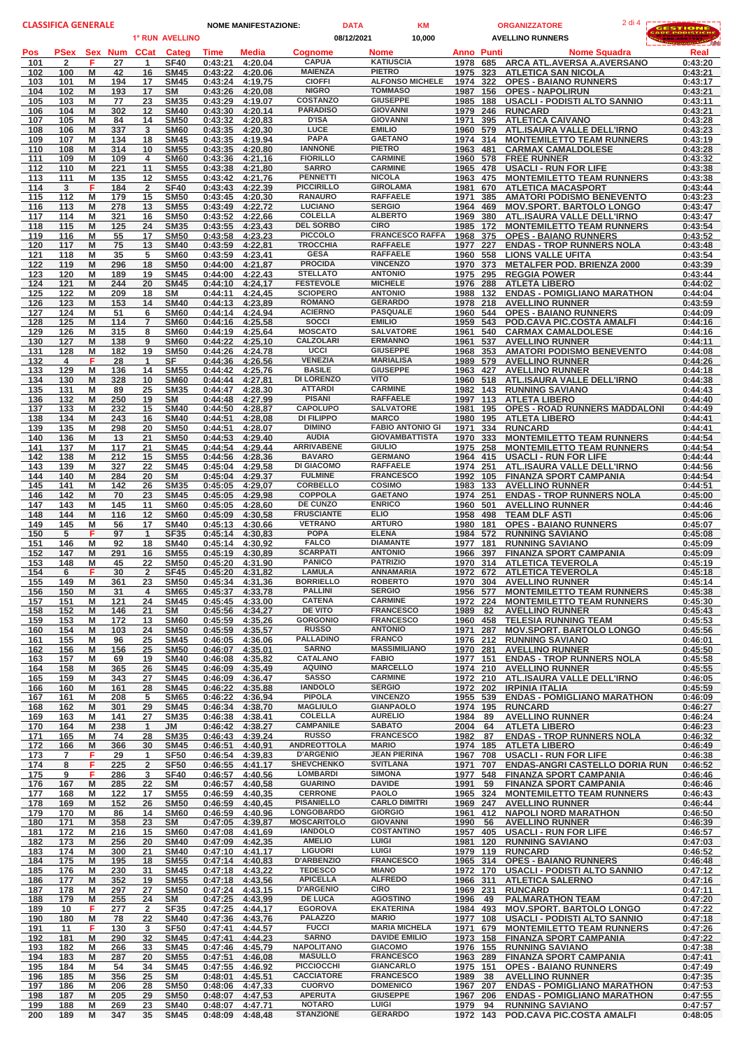| <b>CLASSIFICA GENERALE</b> |                       |                      |                      | <b>DATA</b><br><b>NOME MANIFESTAZIONE:</b> |                    |                                    |                                      | <b>KM</b><br><b>ORGANIZZATORE</b> |                                      |                      |            | <b>GESTIONE</b>                                                        |                    |
|----------------------------|-----------------------|----------------------|----------------------|--------------------------------------------|--------------------|------------------------------------|--------------------------------------|-----------------------------------|--------------------------------------|----------------------|------------|------------------------------------------------------------------------|--------------------|
|                            |                       |                      |                      | 1° RUN AVELLINO                            |                    |                                    |                                      | 08/12/2021                        | 10,000                               |                      |            | <b>AVELLINO RUNNERS</b>                                                | بعد                |
| Pos                        | <b>PSex</b>           | Sex Num CCat         |                      | Categ                                      | Time               | Media                              | <b>Cognome</b>                       | Nome                              |                                      | <b>Anno Punti</b>    |            | <b>Nome Squadra</b>                                                    | Real               |
| 101<br>102                 | $\overline{2}$<br>100 | F<br>27<br>M<br>42   | $\mathbf{1}$<br>16   | <b>SF40</b><br><b>SM45</b>                 | 0:43:21<br>0:43:22 | 4:20.04<br>4:20.06                 | <b>CAPUA</b><br><b>MAIENZA</b>       | <b>PIETRO</b>                     | <b>KATIUSCIA</b>                     | 1978<br>1975         | 685<br>323 | ARCA ATL.AVERSA A.AVERSANO<br><b>ATLETICA SAN NICOLA</b>               | 0:43:20<br>0:43:21 |
| 103                        | 101                   | 194<br>M             | 17                   | <b>SM45</b>                                | 0:43:24            | 4:19.75                            | <b>CIOFFI</b>                        |                                   | <b>ALFONSO MICHELE</b>               | 1974                 | 322        | <b>OPES - BAIANO RUNNERS</b>                                           | 0:43:17            |
| 104                        | 102                   | M<br>193             | 17                   | <b>SM</b>                                  | 0:43:26            | 4:20.08                            | <b>NIGRO</b><br><b>COSTANZO</b>      |                                   | <b>TOMMASO</b><br><b>GIUSEPPE</b>    | 1987 156             |            | <b>OPES - NAPOLIRUN</b>                                                | 0:43:21            |
| 105<br>106                 | 103<br>104            | M<br>77<br>M<br>302  | 23<br>12             | <b>SM35</b><br><b>SM40</b>                 | 0:43:29<br>0:43:30 | 4:19.07<br>4:20.14                 | <b>PARADISO</b>                      |                                   | <b>GIOVANNI</b>                      | 1985<br>1979         | 188<br>246 | <b>USACLI - PODISTI ALTO SANNIO</b><br><b>RUNCARD</b>                  | 0:43:11<br>0:43:21 |
| 107                        | 105                   | M<br>84              | 14                   | <b>SM50</b>                                | 0:43:32            | 4:20.83                            | <b>D'ISA</b>                         |                                   | <b>GIOVANNI</b>                      | 1971                 | 395        | <b>ATLETICA CAIVANO</b>                                                | 0:43:28            |
| 108                        | 106                   | 337<br>M             | 3                    | <b>SM60</b>                                | 0:43:35            | 4:20.30                            | LUCE<br><b>PAPA</b>                  | <b>EMILIO</b>                     | <b>GAETANO</b>                       | 1960                 | 579        | ATL.ISAURA VALLE DELL'IRNO                                             | 0:43:23            |
| 109<br>110                 | 107<br>108            | M<br>134<br>M<br>314 | 18<br>10             | <b>SM45</b><br><b>SM55</b>                 | 0:43:35            | 4:19.94<br>0:43:35 4:20,80         | <b>IANNONE</b>                       | <b>PIETRO</b>                     |                                      | 1974<br>1963         | 314<br>481 | <b>MONTEMILETTO TEAM RUNNERS</b><br><b>CARMAX CAMALDOLESE</b>          | 0:43:19<br>0:43:28 |
| 111                        | 109                   | M<br>109             | 4                    | <b>SM60</b>                                | 0:43:36            | 4:21.16                            | <b>FIORILLO</b>                      |                                   | <b>CARMINE</b>                       | 1960 578             |            | <b>FREE RUNNER</b>                                                     | 0:43:32            |
| 112                        | 110                   | 221<br>M             | 11                   | <b>SM55</b>                                | 0:43:38            | 4:21.80                            | <b>SARRO</b>                         |                                   | <b>CARMINE</b>                       | 1965                 | 478        | <b>USACLI - RUN FOR LIFE</b>                                           | 0:43:38            |
| 113<br>114                 | 111<br>3              | M<br>135<br>184<br>F | 12<br>$\overline{2}$ | <b>SM55</b><br><b>SF40</b>                 | 0:43:42<br>0:43:43 | 4:21.76<br>4:22.39                 | <b>PENNETTI</b><br><b>PICCIRILLO</b> |                                   | <b>NICOLA</b><br><b>GIROLAMA</b>     | 1981                 | 670        | 1963 475 MONTEMILETTO TEAM RUNNERS<br><b>ATLETICA MACASPORT</b>        | 0:43:38<br>0:43:44 |
| 115                        | 112                   | M<br>179             | 15                   | <b>SM50</b>                                | 0:43:45            | 4:20.30                            | <b>RANAURO</b>                       |                                   | <b>RAFFAELE</b>                      | 1971                 | 385        | <b>AMATORI PODISMO BENEVENTO</b>                                       | 0:43:23            |
| 116                        | 113                   | M<br>278             | 13                   | <b>SM55</b>                                | 0:43:49            | 4:22.72                            | <b>LUCIANO</b>                       |                                   | <b>SERGIO</b>                        | 1964                 | 469        | <b>MOV.SPORT. BARTOLO LONGO</b>                                        | 0:43:47            |
| 117<br>118                 | 114<br>115            | M<br>321<br>M<br>125 | 16<br>24             | <b>SM50</b><br><b>SM35</b>                 | 0:43:52<br>0:43:55 | 4:22.66<br>4:23.43                 | <b>COLELLA</b><br><b>DEL SORBO</b>   | <b>CIRO</b>                       | <b>ALBERTO</b>                       | 1969<br>1985         | 380<br>172 | ATL.ISAURA VALLE DELL'IRNO<br><b>MONTEMILETTO TEAM RUNNERS</b>         | 0:43:47<br>0:43:54 |
| 119                        | 116                   | M<br>55              | 17                   | <b>SM50</b>                                | 0:43:58            | 4:23.23                            | <b>PICCOLO</b>                       |                                   | <b>FRANCESCO RAFFA</b>               | 1968                 | 375        | <b>OPES - BAIANO RUNNERS</b>                                           | 0:43:52            |
| 120                        | 117                   | M<br>75              | 13                   | <b>SM40</b>                                | 0:43:59            | 4:22.81                            | <b>TROCCHIA</b>                      |                                   | <b>RAFFAELE</b>                      | 1977                 | 227        | <b>ENDAS - TROP RUNNERS NOLA</b>                                       | 0:43:48            |
| 121<br>122                 | 118<br>119            | M<br>35<br>M<br>296  | 5<br>18              | <b>SM60</b><br><b>SM50</b>                 | 0:43:59<br>0:44:00 | 4:23.41<br>4:21.87                 | <b>GESA</b><br><b>PROCIDA</b>        |                                   | <b>RAFFAELE</b><br><b>VINCENZO</b>   | 1960<br>1970         | 558<br>373 | <b>LIONS VALLE UFITA</b><br><b>METALFER POD. BRIENZA 2000</b>          | 0:43:54<br>0:43:39 |
| 123                        | 120                   | M<br>189             | 19                   | <b>SM45</b>                                | 0:44:00            | 4:22.43                            | <b>STELLATO</b>                      |                                   | <b>ANTONIO</b>                       | 1975 295             |            | <b>REGGIA POWER</b>                                                    | 0:43:44            |
| 124                        | 121                   | M<br>244             | 20                   | <b>SM45</b>                                |                    | 0:44:10 4:24.17                    | <b>FESTEVOLE</b>                     |                                   | <b>MICHELE</b>                       | 1976                 | 288        | <b>ATLETA LIBERO</b>                                                   | 0:44:02            |
| 125<br>126                 | 122<br>123            | 209<br>M<br>M<br>153 | 18<br>14             | <b>SM</b><br><b>SM40</b>                   | 0:44:11<br>0:44:13 | 4:24.45<br>4:23.89                 | <b>SCIOPERO</b><br><b>ROMANO</b>     |                                   | <b>ANTONIO</b><br><b>GERARDO</b>     | 1988<br>1978         | 132        | <b>ENDAS - POMIGLIANO MARATHON</b><br>218 AVELLINO RUNNER              | 0:44:04<br>0:43:59 |
| 127                        | 124                   | 51<br>M              | 6                    | <b>SM60</b>                                |                    | 0:44:14 4:24.94                    | <b>ACIERNO</b>                       |                                   | <b>PASQUALE</b>                      |                      |            | 1960 544 OPES - BAIANO RUNNERS                                         | 0:44:09            |
| 128                        | 125                   | M<br>114             | $\overline{7}$       | <b>SM60</b>                                |                    | 0:44:16 4:25,58                    | <b>SOCCI</b>                         | <b>EMILIO</b>                     |                                      | 1959                 |            | 543 POD.CAVA PIC.COSTA AMALFI                                          | 0:44:16            |
| 129<br>130                 | 126<br>127            | M<br>315<br>M<br>138 | 8<br>9               | <b>SM60</b><br><b>SM60</b>                 | 0:44:19<br>0:44:22 | 4:25.64<br>4:25.10                 | <b>MOSCATO</b><br><b>CALZOLARI</b>   |                                   | <b>SALVATORE</b><br><b>ERMANNO</b>   | 1961<br>1961         |            | 540 CARMAX CAMALDOLESE<br>537 AVELLINO RUNNER                          | 0:44:16<br>0:44:11 |
| 131                        | 128                   | M<br>182             | 19                   | <b>SM50</b>                                | 0:44:26            | 4:24.78                            | UCCI                                 |                                   | <b>GIUSEPPE</b>                      | 1968                 | 353        | <b>AMATORI PODISMO BENEVENTO</b>                                       | 0:44:08            |
| 132                        | 4                     | F<br>28              | $\mathbf{1}$         | <b>SF</b>                                  | 0:44:36            | 4:26.56                            | <b>VENEZIA</b>                       |                                   | <b>MARIALISA</b>                     |                      |            | 1989 579 AVELLINO RUNNER                                               | 0:44:26            |
| 133<br>134                 | 129<br>130            | M<br>136<br>328<br>M | 14<br>10             | <b>SM55</b><br><b>SM60</b>                 | 0:44:42<br>0:44:44 | 4:25.76<br>4:27.81                 | <b>BASILE</b><br><b>DI LORENZO</b>   | <b>VITO</b>                       | <b>GIUSEPPE</b>                      | 1963                 | 427        | <b>AVELLINO RUNNER</b><br>1960 518 ATL.ISAURA VALLE DELL'IRNO          | 0:44:18<br>0:44:38 |
| 135                        | 131                   | M<br>89              | 25                   | <b>SM35</b>                                | 0:44:47            | 4:28.30                            | <b>ATTARDI</b>                       |                                   | <b>CARMINE</b>                       | 1982                 | 143        | <b>RUNNING SAVIANO</b>                                                 | 0:44:43            |
| 136                        | 132                   | M<br>250             | 19                   | <b>SM</b>                                  | 0:44:48            | 4:27.99                            | <b>PISANI</b>                        |                                   | <b>RAFFAELE</b>                      | 1997 113             |            | <b>ATLETA LIBERO</b>                                                   | 0:44:40            |
| 137<br>138                 | 133<br>134            | M<br>232<br>M<br>243 | 15<br>16             | <b>SM40</b><br><b>SM40</b>                 | 0:44:50<br>0:44:51 | 4:28.87<br>4:28,08                 | <b>CAPOLUPO</b><br><b>DI FILIPPO</b> |                                   | <b>SALVATORE</b><br><b>MARCO</b>     | 1981<br>1980         | 195<br>195 | <b>OPES - ROAD RUNNERS MADDALONI</b><br><b>ATLETA LIBERO</b>           | 0:44:49<br>0:44:41 |
| 139                        | 135                   | M<br>298             | 20                   | <b>SM50</b>                                | 0:44:51            | 4:28.07                            | <b>DIMINO</b>                        |                                   | <b>FABIO ANTONIO GI</b>              | 1971                 | 334        | <b>RUNCARD</b>                                                         | 0:44:41            |
| 140                        | 136                   | M<br>13              | 21                   | <b>SM50</b>                                | 0:44:53            | 4:29.40                            | <b>AUDIA</b>                         |                                   | <b>GIOVAMBATTISTA</b>                | 1970                 | 333        | <b>MONTEMILETTO TEAM RUNNERS</b>                                       | 0:44:54            |
| 141<br>142                 | 137<br>138            | M<br>117<br>M<br>212 | 21<br>15             | <b>SM45</b><br><b>SM55</b>                 | 0:44:54<br>0:44:56 | 4:29.44<br>4:28.36                 | <b>ARRIVABENE</b><br><b>BAVARO</b>   | <b>GIULIO</b>                     | <b>GERMANO</b>                       | 1975 258<br>1964 415 |            | <b>MONTEMILETTO TEAM RUNNERS</b><br><b>USACLI - RUN FOR LIFE</b>       | 0:44:54<br>0:44:44 |
| 143                        | 139                   | M<br>327             | 22                   | <b>SM45</b>                                | 0:45:04            | 4:29.58                            | <b>DI GIACOMO</b>                    |                                   | <b>RAFFAELE</b>                      | 1974                 | 251        | ATL.ISAURA VALLE DELL'IRNO                                             | 0:44:56            |
| 144                        | 140                   | M<br>284             | 20                   | <b>SM</b>                                  | 0:45:04            | 4:29.37                            | <b>FULMINE</b>                       |                                   | <b>FRANCESCO</b>                     |                      |            | 1992 105 FINANZA SPORT CAMPANIA                                        | 0:44:54            |
| 145<br>146                 | 141<br>142            | M<br>142<br>M<br>70  | 26<br>23             | <b>SM35</b><br><b>SM45</b>                 | 0:45:05<br>0:45:05 | 4:29.07<br>4:29.98                 | <b>CORBELLO</b><br><b>COPPOLA</b>    |                                   | <b>COSIMO</b><br><b>GAETANO</b>      | 1983<br>1974 251     | 133        | <b>AVELLINO RUNNER</b><br><b>ENDAS - TROP RUNNERS NOLA</b>             | 0:44:51<br>0:45:00 |
| 147                        | 143                   | M<br>145             | 11                   | <b>SM60</b>                                | 0:45:05            | 4:28.60                            | <b>DE CUNZO</b>                      |                                   | <b>ENRICO</b>                        | 1960                 | 501        | <b>AVELLINO RUNNER</b>                                                 | 0:44:46            |
| 148                        | 144                   | M<br>116             | 12                   | <b>SM60</b>                                | 0:45:09            | 4:30.58                            | <b>FRUSCIANTE</b>                    | <b>ELIO</b>                       |                                      | 1958                 | 498        | <b>TEAM DLF ASTI</b>                                                   | 0:45:06            |
| 149<br>150                 | 145<br>5              | M<br>56<br>F<br>97   | 17<br>$\mathbf{1}$   | <b>SM40</b><br><b>SF35</b>                 | 0:45:13            | 4:30.66<br>0:45:14 4:30.83         | <b>VETRANO</b><br><b>POPA</b>        | <b>ELENA</b>                      | <b>ARTURO</b>                        | 1980 181<br>1984 572 |            | <b>OPES - BAIANO RUNNERS</b><br><b>RUNNING SAVIANO</b>                 | 0:45:07<br>0:45:08 |
| 151                        | 146                   | M<br>92              | 18                   | <b>SM40</b>                                |                    | 0:45:14 4:30.92                    | <b>FALCO</b>                         |                                   | <b>DIAMANTE</b>                      | 1977 181             |            | <b>RUNNING SAVIANO</b>                                                 | 0:45:09            |
| 152                        | 147                   | M<br>291             | 16                   | <b>SM55</b>                                |                    | 0:45:19 4:30.89                    | <b>SCARPATI</b>                      |                                   | <b>ANTONIO</b>                       | 1966                 | 397        | <b>FINANZA SPORT CAMPANIA</b>                                          | 0:45:09            |
| 153<br>154                 | 148<br>6              | M<br>45<br>F<br>30   | 22<br>$\overline{2}$ | <b>SM50</b><br><b>SF45</b>                 |                    | 0:45:20 4:31.90<br>0:45:20 4:31.82 | <b>PANICO</b><br><b>LAMULA</b>       |                                   | <b>PATRIZIO</b><br><b>ANNAMARIA</b>  | 1970                 | 314        | <b>ATLETICA TEVEROLA</b><br>1972 672 ATLETICA TEVEROLA                 | 0:45:19<br>0:45:18 |
| <u>155</u>                 | <u>149</u>            | M<br>361             | 23                   | <b>SM50</b>                                |                    | 0:45:34 4:31.36                    | <b>BORRIELLO</b>                     |                                   | <b>ROBERTO</b>                       |                      |            | 1970 304 AVELLINO RUNNER                                               | 0:45:14            |
| 156                        | 150                   | M<br>31              | 4                    | <b>SM65</b>                                |                    | 0:45:37 4:33.78                    | <b>PALLINI</b>                       |                                   | <b>SERGIO</b>                        | 1956 577             |            | <b>MONTEMILETTO TEAM RUNNERS</b>                                       | 0:45:38            |
| 157                        | 151                   | M<br>121             | 24                   | <b>SM45</b>                                | 0:45:45            | 4:33.00                            | <b>CATENA</b><br>DE VITO             |                                   | <b>CARMINE</b><br><b>FRANCESCO</b>   | 1972                 | 224        | <b>MONTEMILETTO TEAM RUNNERS</b>                                       | 0:45:30            |
| 158<br>159                 | 152<br>153            | M<br>146<br>M<br>172 | 21<br>13             | <b>SM</b><br><b>SM60</b>                   | 0:45:59            | 0:45:56 4:34.27<br>4:35.26         | <b>GORGONIO</b>                      |                                   | <b>FRANCESCO</b>                     | 1989 82<br>1960 458  |            | <b>AVELLINO RUNNER</b><br><b>TELESIA RUNNING TEAM</b>                  | 0:45:43<br>0:45:53 |
| 160                        | 154                   | 103<br>M             | 24                   | <b>SM50</b>                                | 0:45:59            | 4:35.57                            | <b>RUSSO</b>                         |                                   | <b>ANTONIO</b>                       | 1971 287             |            | <b>MOV.SPORT. BARTOLO LONGO</b>                                        | 0:45:56            |
| 161                        | 155                   | M<br>96              | 25                   | <b>SM45</b>                                | 0:46:05            | 4:36.06                            | <b>PALLADINO</b>                     |                                   | <b>FRANCO</b><br><b>MASSIMILIANO</b> | 1976 212             |            | <b>RUNNING SAVIANO</b>                                                 | 0:46:01            |
| 162<br><u>163</u>          | 156<br>157            | M<br>156<br>M<br>69  | 25<br>19             | <b>SM50</b><br><b>SM40</b>                 |                    | 0:46:07 4:35.01<br>0:46:08 4:35.82 | <b>SARNO</b><br><b>CATALANO</b>      | <b>FABIO</b>                      |                                      | 1970 281<br>1977 151 |            | <b>AVELLINO RUNNER</b><br><b>ENDAS - TROP RUNNERS NOLA</b>             | 0:45:50<br>0:45:58 |
| 164                        | 158                   | 365<br>M             | 26                   | <b>SM45</b>                                |                    | 0:46:09 4:35.49                    | <b>AQUINO</b>                        |                                   | <b>MARCELLO</b>                      |                      |            | 1974 210 AVELLINO RUNNER                                               | 0:45:55            |
| 165                        | 159                   | M<br>343             | 27                   | <b>SM45</b>                                | 0:46:09            | 4:36.47                            | <b>SASSO</b>                         |                                   | <b>CARMINE</b>                       |                      |            | 1972 210 ATL.ISAURA VALLE DELL'IRNO                                    | 0:46:05            |
| 166<br>167                 | 160<br>161            | M<br>161<br>M<br>208 | 28<br>5              | <b>SM45</b><br><b>SM65</b>                 | 0:46:22<br>0:46:22 | 4:35,88<br>4:36.94                 | <b>IANDOLO</b><br><b>PIPOLA</b>      |                                   | <b>SERGIO</b><br><b>VINCENZO</b>     | 1972 202<br>1955 539 |            | <b>IRPINIA ITALIA</b><br><b>ENDAS - POMIGLIANO MARATHON</b>            | 0:45:59<br>0:46:09 |
| 168                        | 162                   | M<br>301             | 29                   | <b>SM45</b>                                | 0:46:34            | 4:38.70                            | <b>MAGLIULO</b>                      |                                   | <b>GIANPAOLO</b>                     | 1974 195             |            | <b>RUNCARD</b>                                                         | 0:46:27            |
| 169                        | 163                   | M<br>141             | 27                   | <b>SM35</b>                                |                    | 0:46:38 4:38.41                    | <b>COLELLA</b>                       |                                   | <b>AURELIO</b>                       | 1984                 | 89         | <b>AVELLINO RUNNER</b>                                                 | 0:46:24            |
| 170<br>171                 | 164<br>165            | M<br>238<br>M<br>74  | $\mathbf{1}$<br>28   | JM<br><b>SM35</b>                          | 0:46:43            | 0:46:42 4:38.27<br>4:39,24         | <b>CAMPANILE</b><br><b>RUSSO</b>     |                                   | <b>SABATO</b><br><b>FRANCESCO</b>    | 2004 64<br>1982      | 87         | <b>ATLETA LIBERO</b><br><b>ENDAS - TROP RUNNERS NOLA</b>               | 0:46:23<br>0:46:32 |
| 172                        | 166                   | 366<br>M             | 30                   | <b>SM45</b>                                |                    | 0:46:51 4:40.91                    | <b>ANDREOTTOLA</b>                   | <b>MARIO</b>                      |                                      | 1974 185             |            | <b>ATLETA LIBERO</b>                                                   | 0:46:49            |
| 173                        | $\overline{7}$        | F<br>29              | $\mathbf{1}$         | <b>SF50</b>                                |                    | 0:46:54 4:39.83                    | <b>D'ARGENIO</b>                     |                                   | <b>JEAN PIERINA</b>                  | 1967                 | 708        | <b>USACLI - RUN FOR LIFE</b>                                           | 0:46:38            |
| 174<br><u>175</u>          | 8<br>9                | F<br>225<br>F<br>286 | $\overline{2}$<br>3  | <b>SF50</b><br><b>SF40</b>                 | 0:46:57            | 0:46:55 4:41.17<br>4:40.56         | <b>SHEVCHENKO</b><br><b>LOMBARDI</b> |                                   | <b>SVITLANA</b><br><b>SIMONA</b>     | 1971<br>1977         | 707<br>548 | <b>ENDAS-ANGRI CASTELLO DORIA RUN</b><br><b>FINANZA SPORT CAMPANIA</b> | 0:46:52<br>0:46:46 |
| 176                        | 167                   | M<br>285             | 22                   | <b>SM</b>                                  |                    | 0:46:57 4:40.58                    | <b>GUARINO</b>                       |                                   | <b>DAVIDE</b>                        | 1991                 | 59         | <b>FINANZA SPORT CAMPANIA</b>                                          | 0:46:46            |
| 177                        | 168                   | M<br>122             | 17                   | <b>SM55</b>                                |                    | 0:46:59 4:40.35                    | <b>CERRONE</b><br><b>PISANIELLO</b>  | PAOLO                             | <b>CARLO DIMITRI</b>                 | 1965 324             |            | <b>MONTEMILETTO TEAM RUNNERS</b>                                       | 0:46:43            |
| 178<br>179                 | 169<br>170            | M<br>152<br>M<br>86  | 26<br>14             | <b>SM50</b><br>SM60                        | 0:46:59<br>0:46:59 | 4:40.45<br>4:40.96                 | LONGOBARDO                           |                                   | <b>GIORGIO</b>                       | 1969                 | 247        | <b>AVELLINO RUNNER</b><br>1961 412 NAPOLI NORD MARATHON                | 0:46:44<br>0:46:50 |
| 180                        | 171                   | M<br>358             | 23                   | <b>SM</b>                                  |                    | 0:47:05 4:39.87                    | <b>MOSCARITOLO</b>                   |                                   | <b>GIOVANNI</b>                      | 1990 56              |            | <b>AVELLINO RUNNER</b>                                                 | 0:46:39            |
| 181                        | 172                   | M<br>216             | 15                   | <b>SM60</b>                                | 0:47:08            | 4:41.69                            | <b>IANDOLO</b><br><b>AMELIO</b>      | LUIGI                             | <b>COSTANTINO</b>                    | 1957 405             |            | <b>USACLI - RUN FOR LIFE</b>                                           | 0:46:57            |
| 182<br>183                 | 173<br>174            | M<br>256<br>M<br>300 | 20<br>21             | <b>SM40</b><br><b>SM40</b>                 |                    | 0:47:09 4:42.35<br>0:47:10 4:41.17 | <b>LIGUORI</b>                       | LUIGI                             |                                      | 1981 120<br>1979 119 |            | <b>RUNNING SAVIANO</b><br><b>RUNCARD</b>                               | 0:47:03<br>0:46:52 |
| 184                        | 175                   | M<br>195             | 18                   | <b>SM55</b>                                |                    | 0:47:14 4:40.83                    | <b>D'ARBENZIO</b>                    |                                   | <b>FRANCESCO</b>                     | 1965 314             |            | <b>OPES - BAIANO RUNNERS</b>                                           | 0:46:48            |
| 185                        | 176                   | M<br>230             | 31                   | <b>SM45</b>                                | 0:47:18            | 4:43.22                            | <b>TEDESCO</b>                       | <b>MIANO</b>                      |                                      | 1972 170             |            | USACLI - PODISTI ALTO SANNIO                                           | 0:47:12            |
| 186<br>187                 | 177<br>178            | M<br>352<br>M<br>297 | 19<br>27             | <b>SM55</b><br><b>SM50</b>                 |                    | 0:47:18 4:43,56<br>0:47:24 4:43.15 | <b>APICELLA</b><br><b>D'ARGENIO</b>  | <b>CIRO</b>                       | <b>ALFREDO</b>                       | 1966 311<br>1969 231 |            | <b>ATLETICA SALERNO</b><br><b>RUNCARD</b>                              | 0:47:16<br>0:47:11 |
| 188                        | 179                   | M<br>255             | 24                   | <b>SM</b>                                  | 0:47:25            | 4:43.99                            | <b>DE LUCA</b>                       |                                   | <b>AGOSTINO</b>                      | 1996                 | - 49       | <b>PALMARATHON TEAM</b>                                                | 0:47:20            |
| 189                        | 10                    | F<br>277             | 2                    | <b>SF35</b>                                |                    | 0:47:25 4:44.17                    | <b>EGOROVA</b>                       |                                   | <b>EKATERINA</b>                     | 1984 493             |            | <b>MOV.SPORT. BARTOLO LONGO</b>                                        | 0:47:22            |
| 190<br>191                 | 180<br>11             | M<br>78<br>F<br>130  | 22<br>3              | <b>SM40</b><br><b>SF50</b>                 | 0:47:41            | 0:47:36 4:43.76<br>4:44.57         | <b>PALAZZO</b><br><b>FUCCI</b>       | <b>MARIO</b>                      | <b>MARIA MICHELA</b>                 | 1977 108<br>1971 679 |            | USACLI - PODISTI ALTO SANNIO<br><b>MONTEMILETTO TEAM RUNNERS</b>       | 0:47:18<br>0:47:26 |
| 192                        | 181                   | M<br>290             | 32                   | <b>SM45</b>                                | 0:47:41            | 4:44.23                            | <b>SARNO</b>                         |                                   | <b>DAVIDE EMILIO</b>                 | 1973 158             |            | <b>FINANZA SPORT CAMPANIA</b>                                          | 0:47:22            |
| 193                        | 182                   | M<br>266             | 33                   | <b>SM45</b>                                |                    | 0:47:46 4:45.79                    | <b>NAPOLITANO</b>                    |                                   | <b>GIACOMO</b>                       | 1976 155             |            | <b>RUNNING SAVIANO</b>                                                 | 0:47:38            |
| 194<br>195                 | 183<br>184            | M<br>287<br>M<br>54  | 20<br>34             | <b>SM55</b><br><b>SM45</b>                 | 0:47:51<br>0:47:55 | 4:46.08<br>4:46.92                 | <b>MASULLO</b><br><b>PICCIOCCHI</b>  |                                   | <b>FRANCESCO</b><br><b>GIANCARLO</b> | 1963 289<br>1975 151 |            | <b>FINANZA SPORT CAMPANIA</b><br><b>OPES - BAIANO RUNNERS</b>          | 0:47:41<br>0:47:49 |
| 196                        | 185                   | M<br>356             | 25                   | <b>SM</b>                                  | 0:48:01            | 4:45.51                            | <b>CACCIATORE</b>                    |                                   | <b>FRANCESCO</b>                     | 1989 38              |            | <b>AVELLINO RUNNER</b>                                                 | 0:47:35            |
| 197                        | 186                   | M<br>206             | 28                   | <b>SM50</b>                                |                    | 0:48:06 4:47.33                    | <b>CUORVO</b>                        |                                   | <b>DOMENICO</b>                      | 1967                 | 207        | <b>ENDAS - POMIGLIANO MARATHON</b>                                     | 0:47:53            |
| 198<br>199                 | 187<br>188            | M<br>205<br>M<br>269 | 29<br>23             | <b>SM50</b><br><b>SM40</b>                 | 0:48:07<br>0:48:07 | 4:47.53<br>4:47.71                 | <b>APERUTA</b><br><b>NOTARO</b>      | LUIGI                             | <b>GIUSEPPE</b>                      | 1967 206<br>1979     | 94         | <b>ENDAS - POMIGLIANO MARATHON</b><br><b>RUNNING SAVIANO</b>           | 0:47:55<br>0:47:57 |
| 200                        | 189                   | M<br>347             | 35                   | <b>SM45</b>                                | 0:48:09            | 4:48.48                            | <b>STANZIONE</b>                     |                                   | <b>GERARDO</b>                       | 1972 143             |            | POD.CAVA PIC.COSTA AMALFI                                              | 0:48:05            |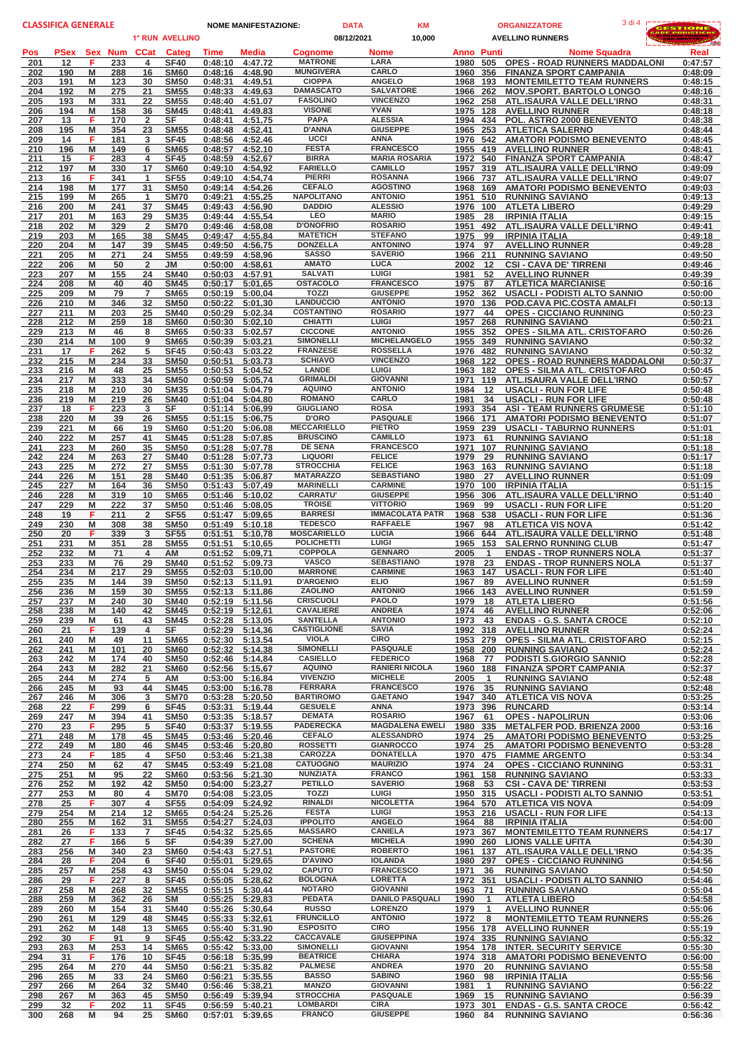| <b>CLASSIFICA GENERALE</b> |             |                      |                      |                            |                                        | <b>NOME MANIFESTAZIONE:</b> |                                      | <b>DATA</b> | <b>KM</b><br><b>ORGANIZZATORE</b>           |                      |                              |                                                                       | 3 di 4 | ESTIONE            |
|----------------------------|-------------|----------------------|----------------------|----------------------------|----------------------------------------|-----------------------------|--------------------------------------|-------------|---------------------------------------------|----------------------|------------------------------|-----------------------------------------------------------------------|--------|--------------------|
|                            |             |                      |                      | 1° RUN AVELLINO            |                                        |                             |                                      | 08/12/2021  | 10,000                                      |                      |                              | <b>AVELLINO RUNNERS</b>                                               |        |                    |
| Pos                        | <b>PSex</b> | Sex Num              | <b>CCat</b>          | Categ                      | Time                                   | Media                       | <b>Cognome</b>                       |             | Nome                                        | <b>Anno Punti</b>    |                              | <b>Nome Squadra</b>                                                   |        | Real               |
| 201<br>202                 | 12<br>190   | F<br>233<br>M<br>288 | 4<br>16              | <b>SF40</b><br><b>SM60</b> | 0:48:10<br>0:48:16                     | 4:47.72<br>4:48.90          | <b>MATRONE</b><br><b>MUNGIVERA</b>   |             | LARA<br>CARLO                               | 1980<br>1960         | 505<br>356                   | <b>OPES - ROAD RUNNERS MADDALONI</b><br><b>FINANZA SPORT CAMPANIA</b> |        | 0:47:57<br>0:48:09 |
| 203                        | 191         | М<br>123             | 30                   | <b>SM50</b>                | 0:48:31                                | 4:49.51                     | <b>CIOPPA</b>                        |             | <b>ANGELO</b>                               | 1968                 | 193                          | <b>MONTEMILETTO TEAM RUNNERS</b>                                      |        | 0:48:15            |
| 204                        | 192         | M<br>275             | 21                   | <b>SM55</b>                | 0:48:33                                | 4:49.63                     | <b>DAMASCATO</b>                     |             | <b>SALVATORE</b>                            | 1966                 | 262                          | <b>MOV.SPORT. BARTOLO LONGO</b>                                       |        | 0:48:16            |
| 205<br>206                 | 193<br>194  | M<br>331<br>M<br>158 | 22<br>36             | <b>SM55</b><br><b>SM45</b> | 0:48:40<br>0:48:41                     | 4:51.07<br>4:49.83          | <b>FASOLINO</b><br><b>VISONE</b>     |             | <b>VINCENZO</b><br><b>YVAN</b>              | 1962<br>1975 128     | 258                          | ATL.ISAURA VALLE DELL'IRNO<br><b>AVELLINO RUNNER</b>                  |        | 0:48:31<br>0:48:18 |
| 207                        | 13          | 170<br>F             | $\overline{2}$       | <b>SF</b>                  | 0:48:41                                | 4:51.75                     | <b>PAPA</b>                          |             | <b>ALESSIA</b>                              | 1994                 | 434                          | POL. ASTRO 2000 BENEVENTO                                             |        | 0:48:38            |
| 208                        | 195         | M<br>354             | 23                   | <b>SM55</b>                | 0:48:48                                | 4:52.41                     | D'ANNA                               |             | <b>GIUSEPPE</b>                             | 1965 253             |                              | <b>ATLETICA SALERNO</b>                                               |        | 0:48:44            |
| 209<br>210                 | 14<br>196   | F<br>181<br>M<br>149 | 3<br>6               | <b>SF45</b><br><b>SM65</b> | 0:48:56<br>0:48:57                     | 4:52.46<br>4:52,10          | UCCI<br><b>FESTA</b>                 |             | <b>ANNA</b><br><b>FRANCESCO</b>             | 1976 542<br>1955 419 |                              | <b>AMATORI PODISMO BENEVENTO</b><br><b>AVELLINO RUNNER</b>            |        | 0:48:45<br>0:48:41 |
| 211                        | 15          | 283<br>F             | 4                    | <b>SF45</b>                | 0:48:59                                | 4:52.67                     | <b>BIRRA</b>                         |             | <b>MARIA ROSARIA</b>                        | 1972                 | 540                          | <b>FINANZA SPORT CAMPANIA</b>                                         |        | 0:48:47            |
| 212                        | 197         | M<br>330             | 17                   | <b>SM60</b>                | 0:49:10                                | 4:54.92                     | <b>FARIELLO</b>                      |             | <b>CAMILLO</b>                              | 1957                 | 319                          | ATL.ISAURA VALLE DELL'IRNO                                            |        | 0:49:09            |
| 213                        | 16          | F<br>341             | 1                    | <b>SF55</b>                | 0:49:10 4:54.74                        |                             | <b>PIERRI</b><br><b>CEFALO</b>       |             | <b>ROSANNA</b><br><b>AGOSTINO</b>           | 1966 737             |                              | ATL.ISAURA VALLE DELL'IRNO                                            |        | 0:49:07            |
| 214<br>215                 | 198<br>199  | M<br>177<br>M<br>265 | 31<br>$\mathbf 1$    | <b>SM50</b><br><b>SM70</b> | 0:49:14<br>0:49:21                     | 4:54.26<br>4:55.25          | <b>NAPOLITANO</b>                    |             | <b>ANTONIO</b>                              | 1968<br>1951         | 169<br>510                   | <b>AMATORI PODISMO BENEVENTO</b><br><b>RUNNING SAVIANO</b>            |        | 0:49:03<br>0:49:13 |
| 216                        | 200         | M<br>241             | 37                   | <b>SM45</b>                | 0:49:43                                | 4:56.90                     | <b>DADDIO</b>                        |             | <b>ALESSIO</b>                              | 1976 100             |                              | <b>ATLETA LIBERO</b>                                                  |        | 0:49:29            |
| 217                        | 201         | M<br>163             | 29                   | <b>SM35</b>                | 0:49:44                                | 4:55.54                     | LEO                                  |             | <b>MARIO</b>                                | 1985                 | 28                           | <b>IRPINIA ITALIA</b>                                                 |        | 0:49:15            |
| 218<br>219                 | 202<br>203  | M<br>329<br>M<br>165 | $\overline{2}$<br>38 | <b>SM70</b><br><b>SM45</b> | 0:49:46<br>0:49:47                     | 4:58.08<br>4:55.84          | <b>D'ONOFRIO</b><br><b>MATETICH</b>  |             | <b>ROSARIO</b><br><b>STEFANO</b>            | 1951<br>1975         | 492<br>99                    | ATL.ISAURA VALLE DELL'IRNO<br><b>IRPINIA ITALIA</b>                   |        | 0:49:41<br>0:49:18 |
| 220                        | 204         | M<br>147             | 39                   | <b>SM45</b>                | 0:49:50                                | 4:56.75                     | <b>DONZELLA</b>                      |             | <b>ANTONINO</b>                             | 1974                 | 97                           | <b>AVELLINO RUNNER</b>                                                |        | 0:49:28            |
| 221                        | 205         | M<br>271             | 24                   | <b>SM55</b>                | 0:49:59                                | 4:58.96                     | <b>SASSO</b>                         |             | <b>SAVERIO</b>                              | 1966                 | 211                          | <b>RUNNING SAVIANO</b>                                                |        | 0:49:50            |
| 222<br>223                 | 206<br>207  | M<br>50<br>M<br>155  | $\overline{2}$<br>24 | JM<br><b>SM40</b>          | 0:50:00<br>0:50:03                     | 4:58.61<br>4:57.91          | <b>AMATO</b><br><b>SALVATI</b>       |             | <b>LUCA</b><br>LUIGI                        | 2002<br>1981         | 12<br>52                     | <b>CSI - CAVA DE' TIRRENI</b><br><b>AVELLINO RUNNER</b>               |        | 0:49:46<br>0:49:39 |
| 224                        | 208         | M<br>40              | 40                   | <b>SM45</b>                | 0:50:17                                | 5:01.65                     | <b>OSTACOLO</b>                      |             | <b>FRANCESCO</b>                            | 1975                 | 87                           | <b>ATLETICA MARCIANISE</b>                                            |        | 0:50:16            |
| 225                        | 209         | M<br>79              | $\overline{7}$       | <b>SM65</b>                | 0:50:19                                | 5:00.04                     | <b>TOZZI</b>                         |             | <b>GIUSEPPE</b>                             | 1952                 | 362                          | <b>USACLI - PODISTI ALTO SANNIO</b>                                   |        | 0:50:00            |
| 226                        | 210         | M<br>346             | 32                   | <b>SM50</b>                | 0:50:22                                | 5:01.30                     | <b>LANDUCCIO</b>                     |             | <b>ANTONIO</b><br><b>ROSARIO</b>            | 1970                 | 136                          | <b>POD.CAVA PIC.COSTA AMALFI</b>                                      |        | 0:50:13            |
| 227<br>228                 | 211<br>212  | M<br>203<br>259<br>M | 25<br>18             | <b>SM40</b><br><b>SM60</b> | 0:50:29<br>0:50:30 5:02.10             | 5:02.34                     | <b>COSTANTINO</b><br><b>CHIATTI</b>  |             | LUIGI                                       | 1977<br>1957         | 44<br>268                    | <b>OPES - CICCIANO RUNNING</b><br><b>RUNNING SAVIANO</b>              |        | 0:50:23<br>0:50:21 |
| 229                        | 213         | M<br>46              | 8                    | <b>SM65</b>                | 0:50:33                                | 5:02.57                     | <b>CICCONE</b>                       |             | <b>ANTONIO</b>                              | 1955                 | 352                          | <b>OPES - SILMA ATL, CRISTOFARO</b>                                   |        | 0:50:26            |
| 230                        | 214         | M<br>100             | 9                    | <b>SM65</b>                | 0:50:39                                | 5:03.21                     | <b>SIMONELLI</b>                     |             | <b>MICHELANGELO</b>                         | 1955                 | 349                          | <b>RUNNING SAVIANO</b>                                                |        | 0:50:32            |
| 231<br>232                 | 17<br>215   | F<br>262<br>M<br>234 | 5<br>33              | <b>SF45</b><br><b>SM50</b> | 0:50:43<br>0:50:51                     | 5:03.22<br>5:03.73          | <b>FRANZESE</b><br><b>SCHIAVO</b>    |             | <b>ROSSELLA</b><br><b>VINCENZO</b>          | 1976<br>1968         | 482<br>122                   | <b>RUNNING SAVIANO</b><br><b>OPES - ROAD RUNNERS MADDALONI</b>        |        | 0:50:32<br>0:50:37 |
| 233                        | 216         | M<br>48              | 25                   | <b>SM55</b>                | 0:50:53                                | 5:04.52                     | <b>LANDE</b>                         |             | LUIGI                                       | 1963                 | 182                          | <b>OPES - SILMA ATL. CRISTOFARO</b>                                   |        | 0:50:45            |
| 234                        | 217         | M<br>333             | 34                   | <b>SM50</b>                | 0:50:59                                | 5:05.74                     | <b>GRIMALDI</b>                      |             | <b>GIOVANNI</b>                             | 1971                 | 119                          | ATL.ISAURA VALLE DELL'IRNO                                            |        | 0:50:57            |
| 235                        | 218         | M<br>210             | 30                   | <b>SM35</b>                | 0:51:04                                | 5:04.79                     | <b>AQUINO</b><br><b>ROMANO</b>       |             | <b>ANTONIO</b><br><b>CARLO</b>              | 1984                 | 12                           | <b>USACLI - RUN FOR LIFE</b>                                          |        | 0:50:48            |
| 236<br>237                 | 219<br>18   | M<br>219<br>F<br>223 | 26<br>3              | <b>SM40</b><br>SF          | 0:51:04<br>0:51:14 5:06.99             | 5:04.80                     | <b>GIUGLIANO</b>                     |             | <b>ROSA</b>                                 | 1981<br>1993         | 34<br>354                    | <b>USACLI - RUN FOR LIFE</b><br><b>ASI - TEAM RUNNERS GRUMESE</b>     |        | 0:50:48<br>0:51:10 |
| 238                        | 220         | M<br>39              | 26                   | <b>SM55</b>                | 0:51:15 5:06,75                        |                             | D'ORO                                |             | <b>PASQUALE</b>                             | 1966                 | 171                          | <b>AMATORI PODISMO BENEVENTO</b>                                      |        | 0:51:07            |
| 239                        | 221         | M<br>66              | 19                   | <b>SM60</b>                | 0:51:20                                | 5:06.08                     | <b>MECCARIELLO</b>                   |             | <b>PIETRO</b>                               | 1959                 | 239                          | <b>USACLI - TABURNO RUNNERS</b>                                       |        | 0:51:01            |
| 240<br>241                 | 222<br>223  | M<br>257<br>M<br>260 | 41<br>35             | <b>SM45</b><br><b>SM50</b> | 0:51:28<br>0:51:28                     | 5:07.85<br>5:07.78          | <b>BRUSCINO</b><br><b>DE SENA</b>    |             | <b>CAMILLO</b><br><b>FRANCESCO</b>          | 1973<br>1971         | 61<br>107                    | <b>RUNNING SAVIANO</b><br><b>RUNNING SAVIANO</b>                      |        | 0:51:18<br>0:51:18 |
| 242                        | 224         | M<br>263             | 27                   | <b>SM40</b>                | 0:51:28                                | 5:07.73                     | <b>LIQUORI</b>                       |             | <b>FELICE</b>                               | 1979                 | 29                           | <b>RUNNING SAVIANO</b>                                                |        | 0:51:17            |
| 243                        | 225         | M<br>272             | 27                   | <b>SM55</b>                | 0:51:30                                | 5:07.78                     | <b>STROCCHIA</b>                     |             | <b>FELICE</b>                               | 1963                 | 163                          | <b>RUNNING SAVIANO</b>                                                |        | 0:51:18            |
| 244                        | 226         | M<br>151             | 28                   | <b>SM40</b>                | 0:51:35 5:06.87                        |                             | <b>MATARAZZO</b>                     |             | <b>SEBASTIANO</b>                           | 1980                 | 27                           | <b>AVELLINO RUNNER</b>                                                |        | 0:51:09            |
| 245<br>246                 | 227<br>228  | M<br>164<br>M<br>319 | 36<br>10             | <b>SM50</b><br><b>SM65</b> | 0:51:43<br>0:51:46                     | 5:07.49<br>5:10.02          | <b>MARINELLI</b><br><b>CARRATU'</b>  |             | <b>CARMINE</b><br><b>GIUSEPPE</b>           | 1970<br>1956         | 100<br>306                   | <b>IRPINIA ITALIA</b><br>ATL.ISAURA VALLE DELL'IRNO                   |        | 0:51:15<br>0:51:40 |
| 247                        | 229         | M<br>222             | 37                   | <b>SM50</b>                | 0:51:46                                | 5:08.05                     | <b>TROISE</b>                        |             | <b>VITTORIO</b>                             | 1969                 | 99                           | <b>USACLI - RUN FOR LIFE</b>                                          |        | 0:51:20            |
| 248                        | 19          | F<br>211             | $\overline{2}$       | <b>SF55</b>                | 0:51:47 5:09.65                        |                             | <b>BARRESI</b>                       |             | <b>IMMACOLATA PATR</b>                      | 1968                 | 538                          | <b>USACLI - RUN FOR LIFE</b>                                          |        | 0:51:36            |
| 249<br>250                 | 230<br>20   | M<br>308<br>F<br>339 | 38<br>3              | <b>SM50</b><br><b>SF55</b> | 0:51:49<br>0:51:51                     | 5:10.18<br>5:10.78          | <b>TEDESCO</b><br><b>MOSCARIELLO</b> |             | <b>RAFFAELE</b><br><b>LUCIA</b>             | 1967<br>1966         | 98<br>644                    | <b>ATLETICA VIS NOVA</b><br>ATL.ISAURA VALLE DELL'IRNO                |        | 0:51:42<br>0:51:48 |
| 251                        | 231         | M<br>351             | 28                   | <b>SM55</b>                | 0:51:51 5:10.65                        |                             | <b>POLICHETTI</b>                    |             | LUIGI                                       | 1965                 | 153                          | <b>SALERNO RUNNING CLUB</b>                                           |        | 0:51:47            |
| 252                        | 232         | M<br>71              | 4                    | AM                         | 0:51:52 5:09.71                        |                             | <b>COPPOLA</b>                       |             | <b>GENNARO</b>                              | 2005                 | $\mathbf{1}$                 | <b>ENDAS - TROP RUNNERS NOLA</b>                                      |        | 0:51:37            |
| <u> 253</u>                | 233         | M<br>76              | 29                   | <b>SM40</b>                | 0:51:52                                | 5:09.73                     | <b>VASCO</b><br><b>MARRONE</b>       |             | <b>SEBASTIANO</b><br><b>CARMINE</b>         | 1978                 | 23                           | <b>ENDAS - TROP RUNNERS NOLA</b>                                      |        | 0:51:37            |
| 254<br>255                 | 234<br>235  | M<br>217<br>M<br>144 | 29<br>39             | <b>SM55</b><br><b>SM50</b> | 0:52:03 5:10.00<br>0:52:13 5:11.91     |                             | <b>D'ARGENIO</b>                     |             | <b>ELIO</b>                                 | 1963 147<br>1967     | 89                           | <b>USACLI - RUN FOR LIFE</b><br><b>AVELLINO RUNNER</b>                |        | 0:51:40<br>0:51:59 |
| 256                        | 236         | M<br>159             | 30                   | <b>SM55</b>                | 0:52:13 5:11.86                        |                             | ZAOLINO                              |             | <b>ANTONIO</b>                              | 1966                 | 143                          | <b>AVELLINO RUNNER</b>                                                |        | 0:51:59            |
| 257                        | 237         | M<br>240             | 30                   | <b>SM40</b>                | 0:52:19 5:11.56                        |                             | <b>CRISCUOLI</b>                     |             | <b>PAOLO</b>                                | 1979                 | 18                           | <b>ATLETA LIBERO</b>                                                  |        | 0:51:56            |
| 258<br>259                 | 238<br>239  | M<br>140<br>M<br>61  | 42<br>43             | <b>SM45</b><br><b>SM45</b> | 0:52:19 5:12.61<br>0:52:28 5:13.05     |                             | <b>CAVALIERE</b><br><b>SANTELLA</b>  |             | <b>ANDREA</b><br><b>ANTONIO</b>             | 1974<br>1973         | 46<br>43                     | <b>AVELLINO RUNNER</b><br><b>ENDAS - G.S. SANTA CROCE</b>             |        | 0:52:06<br>0:52:10 |
| 260                        | 21          | F<br>139             | 4                    | SF                         |                                        | 0:52:29 5:14.36             | <b>CASTIGLIONE</b>                   |             | <b>SAVIA</b>                                | 1992 318             |                              | <b>AVELLINO RUNNER</b>                                                |        | 0:52:24            |
| 261                        | 240         | M<br>49              | 11                   | <b>SM65</b>                | 0:52:30 5:13.54                        |                             | <b>VIOLA</b>                         |             | <b>CIRO</b>                                 | 1953 279             |                              | <b>OPES - SILMA ATL. CRISTOFARO</b>                                   |        | 0:52:15            |
| 262<br>263                 | 241<br>242  | M<br>101<br>M<br>174 | 20<br>40             | <b>SM60</b><br><b>SM50</b> | 0:52:32 5:14.38<br>0:52:46 5:14.84     |                             | <b>SIMONELLI</b><br><b>CASIELLO</b>  |             | <b>PASQUALE</b><br><b>FEDERICO</b>          | 1958 200<br>1968     | 77                           | <b>RUNNING SAVIANO</b><br>PODISTI S.GIORGIO SANNIO                    |        | 0:52:24<br>0:52:28 |
| 264                        | 243         | M<br>282             | 21                   | <b>SM60</b>                | 0:52:56 5:15.67                        |                             | <b>AQUINO</b>                        |             | <b>RANIERI NICOLA</b>                       | 1960 188             |                              | <b>FINANZA SPORT CAMPANIA</b>                                         |        | 0:52:37            |
| 265                        | 244         | М<br>274             | 5                    | ΑМ                         | 0:53:00 5:16.84                        |                             | <b>VIVENZIO</b>                      |             | <b>MICHELE</b>                              | 2005                 | $\mathbf{1}$                 | <b>RUNNING SAVIANO</b>                                                |        | 0:52:48            |
| 266                        | 245         | M<br>93              | 44                   | <b>SM45</b>                | 0:53:00 5:16.78                        |                             | <b>FERRARA</b>                       |             | <b>FRANCESCO</b>                            | 1976 35              |                              | <b>RUNNING SAVIANO</b>                                                |        | 0:52:48            |
| 267<br>268                 | 246<br>22   | M<br>306<br>F<br>299 | 3<br>6               | <b>SM70</b><br><b>SF45</b> | 0:53:28 5:20.50<br>0:53:31 5:19.44     |                             | <b>BARTIROMO</b><br><b>GESUELE</b>   |             | <b>GAETANO</b><br><b>ANNA</b>               | 1947 340<br>1973 396 |                              | <b>ATLETICA VIS NOVA</b><br><b>RUNCARD</b>                            |        | 0:53:25<br>0:53:14 |
| 269                        | 247         | M<br>394             | 41                   | <b>SM50</b>                | 0:53:35 5:18.57                        |                             | <b>DEMATA</b>                        |             | <b>ROSARIO</b>                              | 1967                 | 61                           | <b>OPES - NAPOLIRUN</b>                                               |        | 0:53:06            |
| 270                        | 23          | F<br>295             | 5                    | <b>SF40</b>                | 0:53:37 5:19.55                        |                             | <b>PADERECKA</b><br><b>CEFALO</b>    |             | <b>MAGDALENA EWELI</b><br><b>ALESSANDRO</b> | 1980 335             |                              | <b>METALFER POD, BRIENZA 2000</b>                                     |        | 0:53:16            |
| 271<br>272                 | 248<br>249  | M<br>178<br>M<br>180 | 45<br>46             | <b>SM45</b><br><b>SM45</b> | 0:53:46 5:20.46<br>0:53:46 5:20.80     |                             | <b>ROSSETTI</b>                      |             | <b>GIANROCCO</b>                            | 1974<br>1974 25      | 25                           | <b>AMATORI PODISMO BENEVENTO</b><br><b>AMATORI PODISMO BENEVENTO</b>  |        | 0:53:25<br>0:53:28 |
| 273                        | 24          | F<br>185             | 4                    | <b>SF50</b>                | 0:53:46 5:21.38                        |                             | CAROZZA                              |             | <b>DONATELLA</b>                            | 1970 475             |                              | <b>FIAMME ARGENTO</b>                                                 |        | 0:53:34            |
| 274                        | 250         | M<br>62              | 47                   | <b>SM45</b>                | 0:53:49 5:21.08                        |                             | <b>CATUOGNO</b>                      |             | <b>MAURIZIO</b>                             | 1974 24              |                              | <b>OPES - CICCIANO RUNNING</b>                                        |        | 0:53:31            |
| 275<br>276                 | 251<br>252  | M<br>95<br>M<br>192  | 22<br>42             | <b>SM60</b><br><b>SM50</b> | 0:53:56 5:21.30<br>0:54:00 5:23,27     |                             | <b>NUNZIATA</b><br><b>PETILLO</b>    |             | <b>FRANCO</b><br><b>SAVERIO</b>             | 1961 158<br>1968     | 53                           | <b>RUNNING SAVIANO</b><br><b>CSI - CAVA DE' TIRRENI</b>               |        | 0:53:33<br>0:53:53 |
| 277                        | 253         | M<br>80              | 4                    | <b>SM70</b>                | 0:54:08 5:23.05                        |                             | TOZZI                                |             | LUIGI                                       | 1950 315             |                              | USACLI - PODISTI ALTO SANNIO                                          |        | 0:53:51            |
| 278                        | 25          | F<br>307             | 4                    | <b>SF55</b>                | 0:54:09 5:24.92                        |                             | <b>RINALDI</b>                       |             | <b>NICOLETTA</b>                            | 1964 570             |                              | <b>ATLETICA VIS NOVA</b>                                              |        | 0:54:09            |
| 279                        | 254<br>255  | M<br>214             | 12<br>31             | <b>SM65</b>                | 0:54:24 5:25.26                        |                             | <b>FESTA</b><br><b>IPPOLITO</b>      |             | <b>LUIGI</b><br><b>ANGELO</b>               |                      |                              | 1953 216 USACLI - RUN FOR LIFE                                        |        | 0:54:13<br>0:54:00 |
| 280<br>281                 | 26          | M<br>162<br>133<br>F | 7                    | <b>SM55</b><br><b>SF45</b> | 0:54:27 5:24.03                        | 0:54:32 5:25.65             | <b>MASSARO</b>                       |             | <b>CANIELA</b>                              | 1964 88<br>1973 367  |                              | <b>IRPINIA ITALIA</b><br><b>MONTEMILETTO TEAM RUNNERS</b>             |        | 0:54:17            |
| 282                        | 27          | F<br>166             | 5                    | SF                         | 0:54:39 5:27.00                        |                             | <b>SCHENA</b>                        |             | <b>MICHELA</b>                              | 1990 260             |                              | <b>LIONS VALLE UFITA</b>                                              |        | 0:54:30            |
| 283                        | 256         | M<br>340<br>F        | 23                   | <b>SM60</b>                | 0:54:43 5:27.51                        |                             | <b>PASTORE</b><br><b>D'AVINO</b>     |             | <b>ROBERTO</b><br><b>IOLANDA</b>            | 1961 137             |                              | ATL.ISAURA VALLE DELL'IRNO                                            |        | 0:54:35<br>0:54:56 |
| 284<br>285                 | 28<br>257   | 204<br>M<br>258      | 6<br>43              | <b>SF40</b><br><b>SM50</b> | 0:55:01 5:29.65<br>0:55:04 5:29.02     |                             | <b>CAPUTO</b>                        |             | <b>FRANCESCO</b>                            | 1980 297<br>1971     | 36                           | <b>OPES - CICCIANO RUNNING</b><br><b>RUNNING SAVIANO</b>              |        | 0:54:50            |
| 286                        | 29          | F<br>227             | 8                    | <b>SF45</b>                | 0:55:05 5:28.62                        |                             | <b>BOLOGNA</b>                       |             | <b>LORETTA</b>                              | 1972 351             |                              | USACLI - PODISTI ALTO SANNIO                                          |        | 0:54:46            |
| 287                        | 258         | M<br>268             | 32                   | <b>SM55</b>                | 0:55:15 5:30.44                        |                             | <b>NOTARO</b>                        |             | <b>GIOVANNI</b>                             | 1963                 | 71                           | <b>RUNNING SAVIANO</b>                                                |        | 0:55:04            |
| 288<br>289                 | 259<br>260  | M<br>362<br>M<br>154 | 26<br>31             | SM<br><b>SM40</b>          | $0:55:25$ $5:29.83$<br>0:55:26 5:30.64 |                             | <b>PEDATA</b><br><b>RUSSO</b>        |             | <b>DANILO PASQUALI</b><br><b>LORENZO</b>    | 1990<br>1979         | $\mathbf{1}$<br>$\mathbf{1}$ | <b>ATLETA LIBERO</b><br><b>AVELLINO RUNNER</b>                        |        | 0:54:58<br>0:55:06 |
| 290                        | 261         | M<br>129             | 48                   | <b>SM45</b>                | 0:55:33 5:32.61                        |                             | <b>FRUNCILLO</b>                     |             | <b>ANTONIO</b>                              | 1972                 | 8                            | <b>MONTEMILETTO TEAM RUNNERS</b>                                      |        | 0:55:26            |
| 291                        | 262         | M<br>148             | 13                   | <b>SM65</b>                | 0:55:40 5:31.90                        |                             | <b>ESPOSITO</b>                      |             | <b>CIRO</b>                                 | 1956 178             |                              | <b>AVELLINO RUNNER</b>                                                |        | 0:55:19            |
| 292<br><u> 293</u>         | 30<br>263   | 91<br>F<br>M<br>253  | 9<br>14              | <b>SF45</b><br><b>SM65</b> | 0:55:42 5:33.22<br>0:55:42 5:33.00     |                             | <b>CACCAVALE</b><br><b>SIMONELLI</b> |             | <b>GIUSEPPINA</b><br><b>GIOVANNI</b>        | 1974 335<br>1954 178 |                              | <b>RUNNING SAVIANO</b><br><b>INTER. SECURITY SERVICE</b>              |        | 0:55:32<br>0:55:30 |
| 294                        | 31          | F<br>176             | 10                   | <b>SF45</b>                | 0:56:18 5:35.99                        |                             | <b>BEATRICE</b>                      |             | <b>CHIARA</b>                               | 1974 318             |                              | <b>AMATORI PODISMO BENEVENTO</b>                                      |        | 0:56:00            |
| 295                        | 264         | M<br>270             | 44                   | <b>SM50</b>                | 0:56:21                                | 5:35.82                     | <b>PALMESE</b>                       |             | <b>ANDREA</b>                               | 1970                 | - 20                         | <b>RUNNING SAVIANO</b>                                                |        | 0:55:58            |
| 296<br>297                 | 265<br>266  | 33<br>M<br>M<br>264  | 24<br>32             | <b>SM60</b><br><b>SM40</b> | 0:56:21 5:35.55<br>0:56:46 5:38.21     |                             | <b>BASSO</b><br><b>MANZO</b>         |             | <b>SABINO</b><br><b>GIOVANNI</b>            | 1960<br>1981         | 98<br>$\mathbf{1}$           | <b>IRPINIA ITALIA</b><br><b>RUNNING SAVIANO</b>                       |        | 0:55:56<br>0:56:22 |
| 298                        | 267         | M<br>363             | 45                   | <b>SM50</b>                | 0:56:49 5:39.94                        |                             | <b>STROCCHIA</b>                     |             | <b>PASQUALE</b>                             | 1969                 | 15                           | <b>RUNNING SAVIANO</b>                                                |        | 0:56:39            |
| 299                        | 32          | F<br>202             | 11                   | SF45                       | 0:56:59 5:40.21                        |                             | <b>LOMBARDI</b>                      |             | <b>CIRA</b>                                 | 1973                 | 301                          | <b>ENDAS - G.S. SANTA CROCE</b>                                       |        | 0:56:42            |
| 300                        | 268         | M<br>94              | 25                   | <b>SM60</b>                | 0:57:01 5:39.65                        |                             | <b>FRANCO</b>                        |             | <b>GIUSEPPE</b>                             | 1960                 | 84                           | <b>RUNNING SAVIANO</b>                                                |        | 0:56:36            |